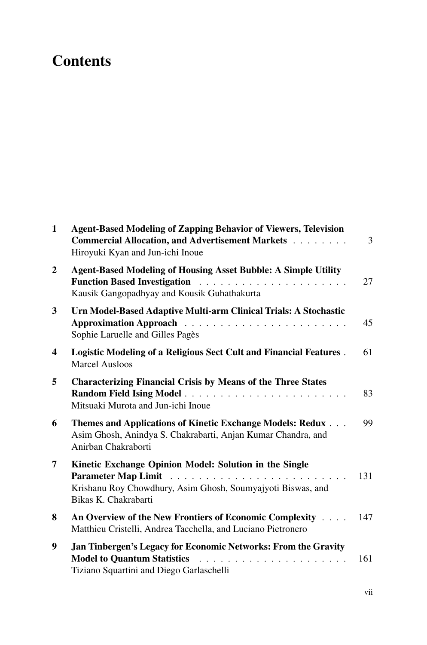## **Contents**

| $\mathbf{1}$            | <b>Agent-Based Modeling of Zapping Behavior of Viewers, Television</b><br>Commercial Allocation, and Advertisement Markets<br>Hiroyuki Kyan and Jun-ichi Inoue | 3   |
|-------------------------|----------------------------------------------------------------------------------------------------------------------------------------------------------------|-----|
| $\boldsymbol{2}$        | <b>Agent-Based Modeling of Housing Asset Bubble: A Simple Utility</b><br>Kausik Gangopadhyay and Kousik Guhathakurta                                           | 27  |
| $\overline{\mathbf{3}}$ | Urn Model-Based Adaptive Multi-arm Clinical Trials: A Stochastic<br>Sophie Laruelle and Gilles Pagès                                                           | 45  |
| 4                       | Logistic Modeling of a Religious Sect Cult and Financial Features.<br><b>Marcel Ausloos</b>                                                                    | 61  |
| 5                       | <b>Characterizing Financial Crisis by Means of the Three States</b><br>Mitsuaki Murota and Jun-ichi Inoue                                                      | 83  |
| 6                       | Themes and Applications of Kinetic Exchange Models: Redux<br>Asim Ghosh, Anindya S. Chakrabarti, Anjan Kumar Chandra, and<br>Anirban Chakraborti               | 99  |
| 7                       | Kinetic Exchange Opinion Model: Solution in the Single<br>Krishanu Roy Chowdhury, Asim Ghosh, Soumyajyoti Biswas, and<br>Bikas K. Chakrabarti                  | 131 |
| 8                       | An Overview of the New Frontiers of Economic Complexity<br>Matthieu Cristelli, Andrea Tacchella, and Luciano Pietronero                                        | 147 |
| 9                       | Jan Tinbergen's Legacy for Economic Networks: From the Gravity<br>Tiziano Squartini and Diego Garlaschelli                                                     | 161 |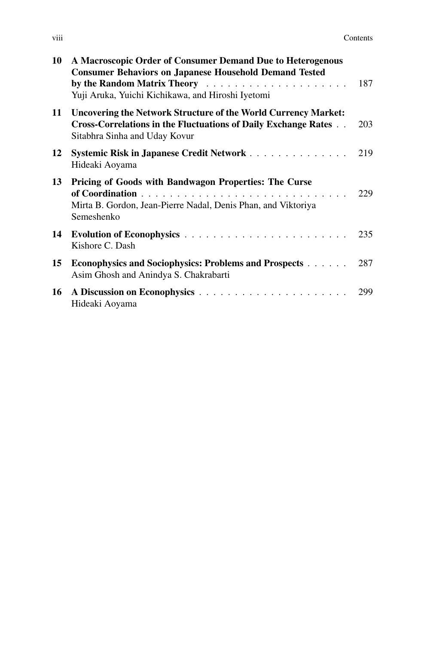| .<br><b>V111</b> | Contents |
|------------------|----------|
|                  |          |

| 10 | A Macroscopic Order of Consumer Demand Due to Heterogenous<br><b>Consumer Behaviors on Japanese Household Demand Tested</b><br>Yuji Aruka, Yuichi Kichikawa, and Hiroshi Iyetomi | 187 |
|----|----------------------------------------------------------------------------------------------------------------------------------------------------------------------------------|-----|
| 11 | <b>Uncovering the Network Structure of the World Currency Market:</b><br>Cross-Correlations in the Fluctuations of Daily Exchange Rates<br>Sitabhra Sinha and Uday Kovur         | 203 |
| 12 | Systemic Risk in Japanese Credit Network<br>Hideaki Aoyama                                                                                                                       | 219 |
| 13 | Pricing of Goods with Bandwagon Properties: The Curse<br>Mirta B. Gordon, Jean-Pierre Nadal, Denis Phan, and Viktoriya<br>Semeshenko                                             | 229 |
| 14 | Kishore C. Dash                                                                                                                                                                  |     |
| 15 | <b>Econophysics and Sociophysics: Problems and Prospects</b><br>Asim Ghosh and Anindya S. Chakrabarti                                                                            | 287 |
| 16 | Hideaki Aoyama                                                                                                                                                                   | 299 |